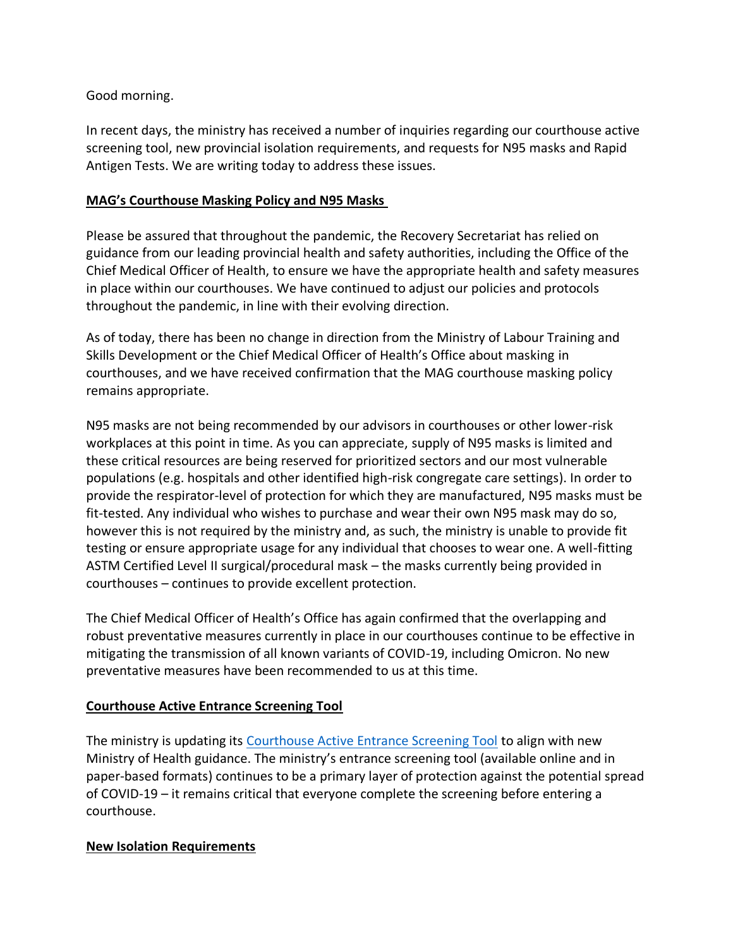Good morning.

In recent days, the ministry has received a number of inquiries regarding our courthouse active screening tool, new provincial isolation requirements, and requests for N95 masks and Rapid Antigen Tests. We are writing today to address these issues.

# **MAG's Courthouse Masking Policy and N95 Masks**

Please be assured that throughout the pandemic, the Recovery Secretariat has relied on guidance from our leading provincial health and safety authorities, including the Office of the Chief Medical Officer of Health, to ensure we have the appropriate health and safety measures in place within our courthouses. We have continued to adjust our policies and protocols throughout the pandemic, in line with their evolving direction.

As of today, there has been no change in direction from the Ministry of Labour Training and Skills Development or the Chief Medical Officer of Health's Office about masking in courthouses, and we have received confirmation that the MAG courthouse masking policy remains appropriate.

N95 masks are not being recommended by our advisors in courthouses or other lower-risk workplaces at this point in time. As you can appreciate, supply of N95 masks is limited and these critical resources are being reserved for prioritized sectors and our most vulnerable populations (e.g. hospitals and other identified high-risk congregate care settings). In order to provide the respirator-level of protection for which they are manufactured, N95 masks must be fit-tested. Any individual who wishes to purchase and wear their own N95 mask may do so, however this is not required by the ministry and, as such, the ministry is unable to provide fit testing or ensure appropriate usage for any individual that chooses to wear one. A well-fitting ASTM Certified Level II surgical/procedural mask – the masks currently being provided in courthouses – continues to provide excellent protection.

The Chief Medical Officer of Health's Office has again confirmed that the overlapping and robust preventative measures currently in place in our courthouses continue to be effective in mitigating the transmission of all known variants of COVID-19, including Omicron. No new preventative measures have been recommended to us at this time.

# **Courthouse Active Entrance Screening Tool**

The ministry is updating it[s Courthouse Active Entrance Screening Tool](https://covid-19.ontario.ca/courthouse-screening/) to align with new Ministry of Health guidance. The ministry's entrance screening tool (available online and in paper-based formats) continues to be a primary layer of protection against the potential spread of COVID-19 – it remains critical that everyone complete the screening before entering a courthouse.

### **New Isolation Requirements**